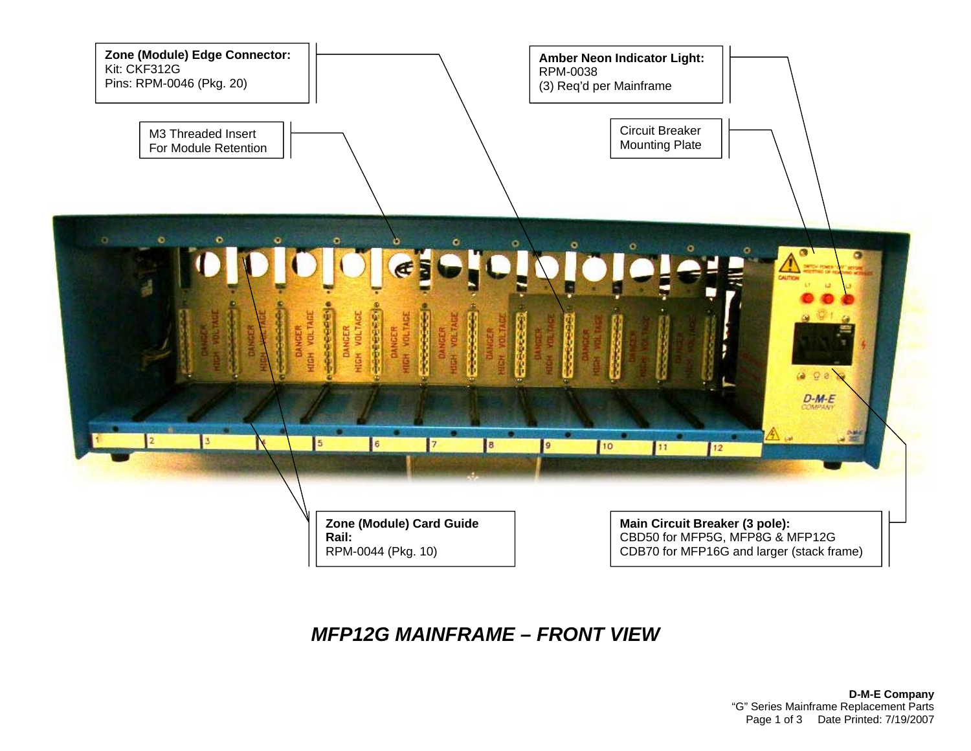

## *MFP12G MAINFRAME – FRONT VIEW*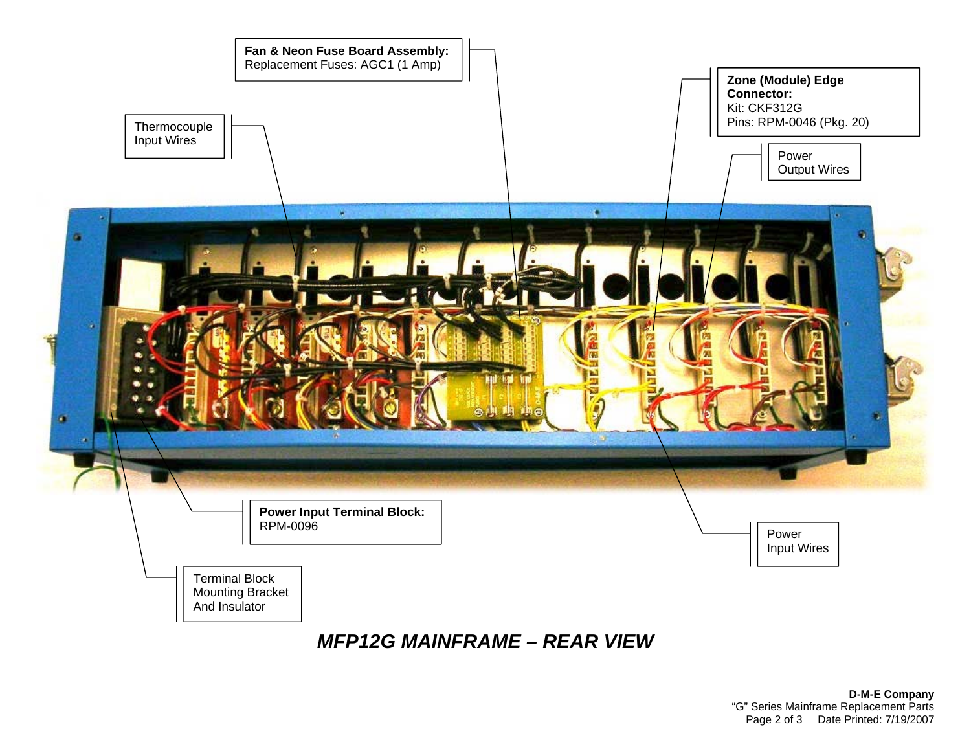

*MFP12G MAINFRAME – REAR VIEW*